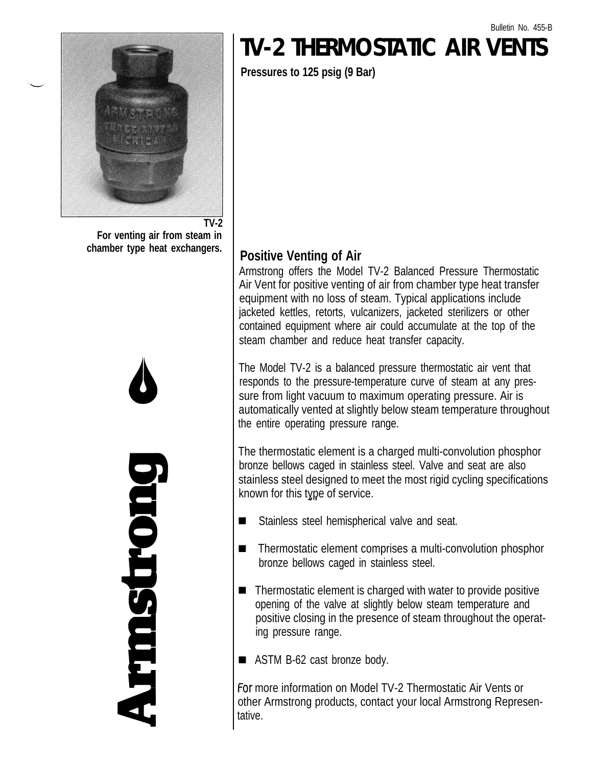

**For venting air from steam in chamber type heat exchangers.**



## **TV-2 THERMOSTATIC AIR VENTS**

**Pressures to 125 psig (9 Bar)**

## **Positive Venting of Air**

Armstrong offers the Model TV-2 Balanced Pressure Thermostatic Air Vent for positive venting of air from chamber type heat transfer equipment with no loss of steam. Typical applications include jacketed kettles, retorts, vulcanizers, jacketed sterilizers or other contained equipment where air could accumulate at the top of the steam chamber and reduce heat transfer capacity.

The Model TV-2 is a balanced pressure thermostatic air vent that responds to the pressure-temperature curve of steam at any pressure from light vacuum to maximum operating pressure. Air is automatically vented at slightly below steam temperature throughout the entire operating pressure range.

The thermostatic element is a charged multi-convolution phosphor bronze bellows caged in stainless steel. Valve and seat are also stainless steel designed to meet the most rigid cycling specifications known for this type of service.

- $\blacksquare$ Stainless steel hemispherical valve and seat.
- $\blacksquare$ Thermostatic element comprises a multi-convolution phosphor bronze bellows caged in stainless steel.
- Thermostatic element is charged with water to provide positive  $\blacksquare$ opening of the valve at slightly below steam temperature and positive closing in the presence of steam throughout the operating pressure range.

■ ASTM B-62 cast bronze body.

For more information on Model TV-2 Thermostatic Air Vents or other Armstrong products, contact your local Armstrong Representative.